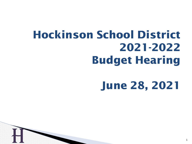# **Hockinson School District 2021-2022 Budget Hearing**

# **June 28, 2021**

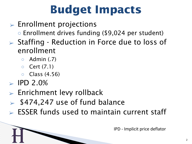# **Budget Impacts**

- $\triangleright$  Enrollment projections ○ Enrollment drives funding (\$9,024 per student) ➢ Staffing - Reduction in Force due to loss of enrollment
	- Admin (.7)
	- Cert (7.1)
	- Class (4.56)
- $>$  IPD 2.0%

H

- $\triangleright$  Enrichment levy rollback
- $>$  \$474,247 use of fund balance
- $\triangleright$  ESSER funds used to maintain current staff

IPD - Implicit price deflator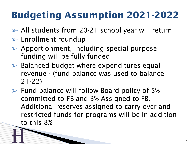# **Budgeting Assumption 2021-2022**

- $\triangleright$  All students from 20-21 school year will return
- ➢ Enrollment roundup
- $\triangleright$  Apportionment, including special purpose funding will be fully funded
- $\triangleright$  Balanced budget where expenditures equal revenue - (fund balance was used to balance 21-22)
- H  $\triangleright$  Fund balance will follow Board policy of 5% committed to FB and 3% Assigned to FB. Additional reserves assigned to carry over and restricted funds for programs will be in addition to this 8%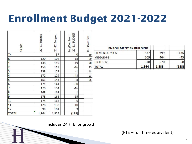# **Enrollment Budget 2021-2022**

| Grade         | 20-21 Budget | 21-22 Budget | 20-21 BUDGET<br>Inc/Dec from | K-5 Class Size |
|---------------|--------------|--------------|------------------------------|----------------|
| TK            |              | 57           | 0                            | 19             |
| K             | 120          | 102          | $-18$                        | 20             |
|               | 138          | 119          | $-19$                        | 20             |
| $\frac{1}{2}$ | 158          | 112          | $-46$                        | 19             |
|               | 138          | 137          | $-1$                         | 23             |
|               | 172          | 129          | $-43$                        | 23             |
| $\frac{4}{5}$ | 151          | 143          | $-8$                         | 26             |
|               | 171          | 141          | $-30$                        |                |
| 7             | 170          | 154          | $-16$                        |                |
| o<br>Po       | 168          | 169          | $\mathbf{1}$                 |                |
|               | 178          | 163          | $-15$                        |                |
| 10            | 174          | 168          | $-6$                         |                |
| 11            | 128          | 138          | 10                           |                |
| 12            | 98           | 101          | 3                            |                |
| <b>TOTAL</b>  | 1,964        | 1,833        | (188)                        |                |

H

| <b>ENROLLMENT BY BUILDING</b> |       |       |        |
|-------------------------------|-------|-------|--------|
| <b>ELEMENTARY K-5</b>         | 877   | 799   | $-135$ |
| MIDDLE 6-8                    | 509   | 464   |        |
| <b>HIGH 9-12</b>              | 578   | 570   |        |
| <b>TOTAL</b>                  | 1,964 | 1,833 | (188)  |

(FTE – full time equivalent)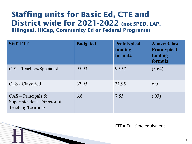#### **Staffing units for Basic Ed, CTE and District wide for 2021-2022 (not SPED, LAP, Bilingual, HiCap, Community Ed or Federal Programs)**

| <b>Staff FTE</b>                                                         | <b>Budgeted</b> | Prototypical<br>funding<br>formula | <b>Above/Below</b><br><b>Prototypical</b><br>funding<br>formula |
|--------------------------------------------------------------------------|-----------------|------------------------------------|-----------------------------------------------------------------|
| $CIS - Teachers/Specialist$                                              | 95.93           | 99.57                              | (3.64)                                                          |
| CLS - Classified                                                         | 37.95           | 31.95                              | 6.0                                                             |
| $CAS - Principles &$<br>Superintendent, Director of<br>Teaching/Learning | 6.6             | 7.53                               | (.93)                                                           |

H

FTE = Full time equivalent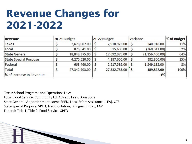# **Revenue Changes for 2021-2022**

| Revenue                      | 20-21 Budget  |   | 21-22 Budget  | Variance |                  | % of Budget |  |
|------------------------------|---------------|---|---------------|----------|------------------|-------------|--|
| Taxes                        | 2,678,007.00  | S | 2,918,925.00  | S        | 240,918.00       | 11%         |  |
| Local                        | 876,541.00    |   | 515,600.00    |          | (360, 941.00)    | 2%          |  |
| State General                | 18,849,375.00 | S | 17,692,975.00 | S        | (1, 156, 400.00) | 64%         |  |
| <b>State Special Purpose</b> | 4,270,520.00  |   | 4,187,660.00  |          | (82, 860.00)     | 15%         |  |
| Federal                      | 668,460.00    | S | 2,217,595.00  | S        | 1,549,135.00     | 8%          |  |
| Total                        | 27,342,903.00 | S | 27,532,755.00 |          | 189,852.00       | 100%        |  |
| % of Increase in Revenue     |               |   |               |          | 1%               |             |  |
|                              |               |   |               |          |                  |             |  |

Taxes: School Programs and Operations Levy Local: Food Service, Community Ed, Athletic Fees, Donations State General: Apportionment, some SPED, Local Effort Assistance (LEA), CTE State Special Purpose: SPED, Transportation, Bilingual, HiCap, LAP Federal: Title 1, Title 2, Food Service, SPED

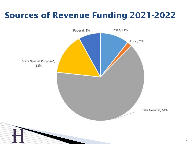#### **Sources of Revenue Funding 2021-2022**

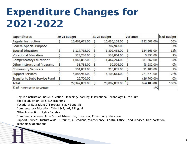# **Expenditure Changes for 2021-2022**

| <b>Expenditures</b>                 |    | 20-21 Budget  |    | 21-22 Budget  | Variance |               | % of Budget |
|-------------------------------------|----|---------------|----|---------------|----------|---------------|-------------|
| <b>Regular Instruction</b>          |    | 16,468,671.00 | S  | 15,636,168.00 | Ş        | (832, 503.00) | 56%         |
| <b>Federal Special Purpose</b>      |    |               |    | 707,947.00    |          |               | 3%          |
| Special Education                   | S  | 3,117,795.00  | \$ | 3,302,458.00  | \$       | 184,663.00    | 12%         |
| <b>Vocational Education</b>         | \$ | 528,230.00    | S  | 538,064.00    | \$       | 9,834.00      | 2%          |
| Compensatory Education*             |    | 1,065,882.00  | S  | 1,447,244.00  | \$       | 381,362.00    | 5%          |
| <b>Other Instructional Programs</b> | \$ | 53,788.00     | \$ | 50,506.00     | \$       | (3, 282.00)   | 0%          |
| <b>Community Servicers</b>          |    | 194,892.00    | \$ | 216,001.00    | \$       | 21,109.00     | 1%          |
| <b>Support Services</b>             | Ş  | 5,886,941.00  | \$ | 6,108,614.00  | \$       | 221,673.00    | 22%         |
| Transfer to Debt Service Fund       | \$ | 26,700.00     |    |               |          | (26,700.00)   | 0%          |
| Total                               | Ş  | 27,342,899.00 | \$ | 28,007,002.00 | S        | 664,103.00    | 100%        |
| % of Increase in Revenue            |    |               |    |               |          | 2%            |             |

Regular Instruction: Basic Education - Teaching/Learning, Instructional Technology, Curriculum

Special Education: All SPED programs

Vocational Education: CTE programs at HS and MS

Compensatory Education: Title 1 & 2, LAP, Bilingual

Other Instruction: Highly Capable

Community Services: After School Adventures, Preschool, Community Education

H Support Services: District wide – Grounds, Custodians, Maintenance, Central Office, Food Services, Transportation, Technology operations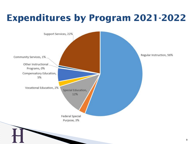#### **Expenditures by Program 2021-2022**

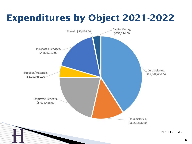# **Expenditures by Object 2021-2022**

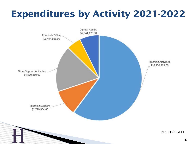#### **Expenditures by Activity 2021-2022**

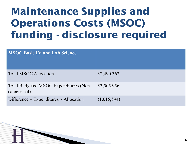# **Maintenance Supplies and Operations Costs (MSOC) funding - disclosure required**

| <b>MSOC Basic Ed and Lab Science</b>                         |             |
|--------------------------------------------------------------|-------------|
| <b>Total MSOC Allocation</b>                                 | \$2,490,362 |
| <b>Total Budgeted MSOC Expenditures (Non</b><br>categorical) | \$3,505,956 |
| Difference $-$ Expenditures $>$ Allocation                   | (1,015,594) |

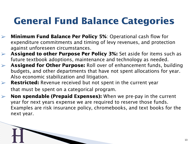#### **General Fund Balance Categories**

- ➢ **Minimum Fund Balance Per Policy 5%**: Operational cash flow for expenditure commitments and timing of levy revenues, and protection against unforeseen circumstances.
- ➢ **Assigned to other Purpose Per Policy 3%:** Set aside for items such as future textbook adoptions, maintenance and technology as needed.
- ➢ **Assigned for Other Purpose:** Roll over of enhancement funds, building budgets, and other departments that have not spent allocations for year. Also economic stabilization and litigation.
- ➢ **Restricted:** Revenue received but not spent in the current year that must be spent on a categorical program.

H

➢ **Non spendable (Prepaid Expenses):** When we pre-pay in the current year for next years expense we are required to reserve those funds. Examples are risk insurance policy, chromebooks, and text books for the next year.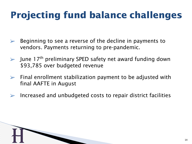# **Projecting fund balance challenges**

- ➢ Beginning to see a reverse of the decline in payments to vendors. Payments returning to pre-pandemic.
- $\triangleright$  June 17<sup>th</sup> preliminary SPED safety net award funding down \$93,785 over budgeted revenue
- $\triangleright$  Final enrollment stabilization payment to be adjusted with final AAFTE in August
- $\triangleright$  Increased and unbudgeted costs to repair district facilities

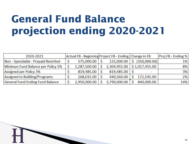# **General Fund Balance** projection ending 2020-2021

| 2020-2021                           | Actual FB - Beginning Project FB - Ending Change in FB |                               |              | $ Proj$ FB - Ending % |
|-------------------------------------|--------------------------------------------------------|-------------------------------|--------------|-----------------------|
| Non - Spendable - Prepaid Restrited | $575,000.00$ \$                                        | $225,000.00$ \$               | (350,000.00) | $1\%$                 |
| Minimun Fund Balance per Policy 5%  | 1,287,500.00                                           | 2,304,955.00   \$1,017,455.00 |              | 8%                    |
| Assigned per Policy 3%              | 819,485.00                                             | 819,485.00                    |              | 3%                    |
| Assigned to Building/Programs       | 268,015.00                                             | 440,560.00                    | 172,545.00   | 2%                    |
| General Fund Ending Fund Balance    | 2,950,000.00                                           | 3,790,000.00                  | 840,000.00   | 14%                   |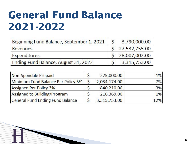# **General Fund Balance 2021-2022**

H

| Beginning Fund Balance, September 1, 2021 | 3,790,000.00    |
|-------------------------------------------|-----------------|
| Revenues                                  | \$27,532,755.00 |
| <b>Expenditures</b>                       | 28,007,002.00   |
| Ending Fund Balance, August 31, 2022      | 3,315,753.00    |

| Non-Spendale Prepaid               |         | 225,000.00   | $1\%$ |
|------------------------------------|---------|--------------|-------|
| Minimum Fund Balance Per Policy 5% | $\zeta$ | 2,034,174.00 | 7%    |
| Assigned Per Policy 3%             |         | 840,210.00   | 3%    |
| Assigned to Building/Program       |         | 216,369.00   | $1\%$ |
| General Fund Ending Fund Balance   |         | 3,315,753.00 | 12%   |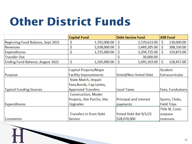# **Other District Funds**

|                                   | <b>Capital Fund</b>           |              | <b>Debt Service Fund</b>      |              | <b>ASB Fund</b>    |                        |
|-----------------------------------|-------------------------------|--------------|-------------------------------|--------------|--------------------|------------------------|
| Beginning Fund Balance, Sept 2021 | \$                            | 1,792,000.00 | \$                            | 1,570,623.00 | \$                 | 130,000.00             |
| <b>Revenues</b>                   | \$                            | 1,038,000.00 | \$                            | 3,449,205.00 | $\mathsf{S}$       | 308,330.00             |
| Expenditures                      | \$                            | 1,725,000.00 | \$                            | 3,294,725.00 | $\mathsf{\hat{S}}$ | 319,873.00             |
| <b>Transfer Out</b>               |                               |              | \$                            | 30,000.00    |                    |                        |
| Ending Fund Balance, August 2022  | \$                            | 1,105,000.00 | $\varsigma$                   | 1,695,103.00 | \$                 | 118,457.00             |
|                                   | Capital Projects/Major        |              |                               |              | <b>Student</b>     |                        |
| Purpose                           | <b>Facility Improvements</b>  |              | Voted/Non-Voted Debt          |              | Extracurricular    |                        |
|                                   | <b>State Match, Impact</b>    |              |                               |              |                    |                        |
|                                   | Fees, Bonds, Cap Levies,      |              |                               |              |                    |                        |
| <b>Typical Funding Sources</b>    | <b>Approved Transfers</b>     |              | <b>Local Taxes</b>            |              |                    | Fees, Fundraisers      |
|                                   | <b>Construction, Moder</b>    |              |                               |              |                    |                        |
|                                   | Projects, Site Purchs, Site   |              | <b>Principal and interest</b> |              |                    | Sports, Clubs,         |
| <b>Expenditures</b>               | <b>Upgrades</b>               |              | payments                      |              |                    | <b>Field Trips</b>     |
|                                   |                               |              |                               |              |                    | <b>Title IX, Costs</b> |
|                                   | <b>Transfers in from Debt</b> |              | Voted Debt Bal 9/1/21         |              | outpace            |                        |
| <b>Comments</b>                   | Service                       |              | \$28,070,000                  |              | revenues           |                        |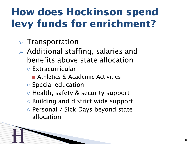# **How does Hockinson spend levy funds for enrichment?**

- $\triangleright$  Transportation
- $\triangleright$  Additional staffing, salaries and benefits above state allocation
	- Extracurricular

H

- Athletics & Academic Activities
- Special education
- Health, safety & security support
- Building and district wide support
- Personal / Sick Days beyond state allocation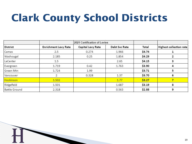# **Clark County School Districts**

|                      |                             | 2021 Certification of Levies |               |        |                         |
|----------------------|-----------------------------|------------------------------|---------------|--------|-------------------------|
| <b>District</b>      | <b>Enrichment Levy Rate</b> | Capital Levy Rate            | Debt Svc Rate | Total  | Highest collection rate |
| Camas                | 2.5                         | 0.274                        | 1.966         | \$4.74 |                         |
| Washougal            | 2.185                       | 0.25                         | 1.854         | \$4.29 |                         |
| LaCenter             | 1.5                         |                              | 2.65          | \$4.15 | з                       |
| Evergreen            | 1.719                       | 0.42                         | 1.763         | \$3.90 | 4                       |
| Green Mtn            | 1.724                       | 1.99                         |               | \$3.71 | 5                       |
| Vancouver            |                             | 0.328                        | 1.37          | \$3.70 | 6                       |
| Hockinson            | 1.502                       |                              | 1.77          | \$3.27 |                         |
| Ridgefield           | 1.501                       |                              | 1.687         | \$3.19 | 8                       |
| <b>Battle Ground</b> | 2.318                       |                              | 0.563         | \$2.88 | 9                       |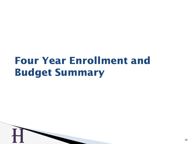### **Four Year Enrollment and Budget Summary**

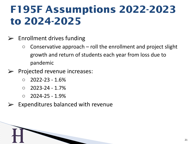# **F195F Assumptions 2022-2023 to 2024-2025**

- $\triangleright$  Enrollment drives funding
	- $\circ$  Conservative approach roll the enrollment and project slight growth and return of students each year from loss due to pandemic
- $\triangleright$  Projected revenue increases:
	- $\circ$  2022-23 1.6%
	- $\circ$  2023-24 1.7%
	- $\circ$  2024-25 1.9%

H

Expenditures balanced with revenue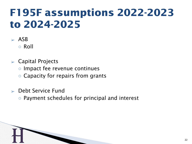# **F195F assumptions 2022-2023 to 2024-2025**

- $\geq$  ASB ○ Roll
- $\triangleright$  Capital Projects
	- Impact fee revenue continues
	- Capacity for repairs from grants
- $\ge$  Debt Service Fund
	- Payment schedules for principal and interest